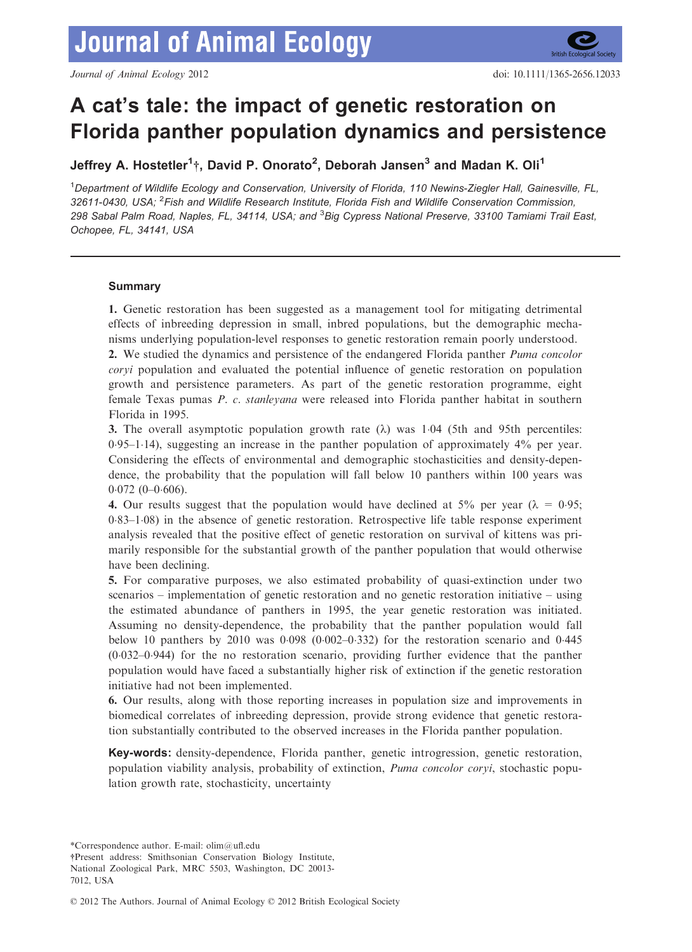# A cat's tale: the impact of genetic restoration on Florida panther population dynamics and persistence

Jeffrey A. Hostetler $^1$ †, David P. Onorato $^2$ , Deborah Jansen $^3$  and Madan K. Oli $^1$ 

<sup>1</sup>Department of Wildlife Ecology and Conservation, University of Florida, 110 Newins-Ziegler Hall, Gainesville, FL, 32611-0430, USA; <sup>2</sup>Fish and Wildlife Research Institute, Florida Fish and Wildlife Conservation Commission, 298 Sabal Palm Road, Naples, FL, 34114, USA; and <sup>3</sup> Big Cypress National Preserve, 33100 Tamiami Trail East, Ochopee, FL, 34141, USA

# Summary

1. Genetic restoration has been suggested as a management tool for mitigating detrimental effects of inbreeding depression in small, inbred populations, but the demographic mechanisms underlying population-level responses to genetic restoration remain poorly understood.

2. We studied the dynamics and persistence of the endangered Florida panther *Puma concolor* coryi population and evaluated the potential influence of genetic restoration on population growth and persistence parameters. As part of the genetic restoration programme, eight female Texas pumas P. c. stanleyana were released into Florida panther habitat in southern Florida in 1995.

3. The overall asymptotic population growth rate  $(\lambda)$  was 1.04 (5th and 95th percentiles:  $0.95-1.14$ ), suggesting an increase in the panther population of approximately  $4\%$  per year. Considering the effects of environmental and demographic stochasticities and density-dependence, the probability that the population will fall below 10 panthers within 100 years was  $0.072$  (0-0.606).

4. Our results suggest that the population would have declined at 5% per year ( $\lambda = 0.95$ ;  $0.83-1.08$ ) in the absence of genetic restoration. Retrospective life table response experiment analysis revealed that the positive effect of genetic restoration on survival of kittens was primarily responsible for the substantial growth of the panther population that would otherwise have been declining.

5. For comparative purposes, we also estimated probability of quasi-extinction under two scenarios – implementation of genetic restoration and no genetic restoration initiative – using the estimated abundance of panthers in 1995, the year genetic restoration was initiated. Assuming no density-dependence, the probability that the panther population would fall below 10 panthers by 2010 was  $0.098$  ( $0.002-0.332$ ) for the restoration scenario and  $0.445$ (0032–0944) for the no restoration scenario, providing further evidence that the panther population would have faced a substantially higher risk of extinction if the genetic restoration initiative had not been implemented.

6. Our results, along with those reporting increases in population size and improvements in biomedical correlates of inbreeding depression, provide strong evidence that genetic restoration substantially contributed to the observed increases in the Florida panther population.

Key-words: density-dependence, Florida panther, genetic introgression, genetic restoration, population viability analysis, probability of extinction, *Puma concolor coryi*, stochastic population growth rate, stochasticity, uncertainty

\*Correspondence author. E-mail: olim@ufl.edu

†Present address: Smithsonian Conservation Biology Institute, National Zoological Park, MRC 5503, Washington, DC 20013- 7012, USA

© 2012 The Authors. Journal of Animal Ecology © 2012 British Ecological Society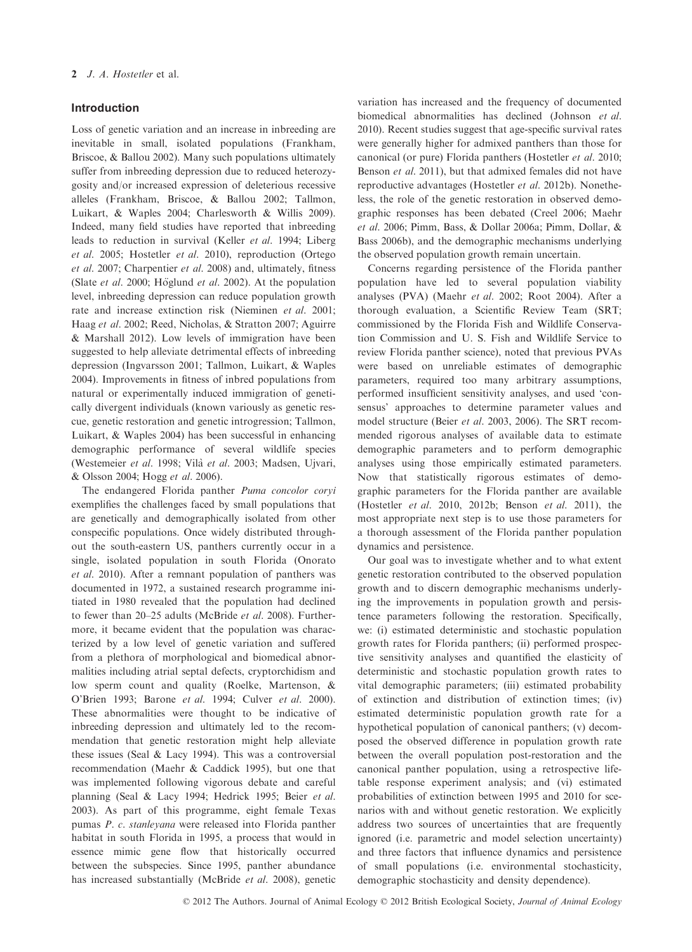## Introduction

Loss of genetic variation and an increase in inbreeding are inevitable in small, isolated populations (Frankham, Briscoe, & Ballou 2002). Many such populations ultimately suffer from inbreeding depression due to reduced heterozygosity and/or increased expression of deleterious recessive alleles (Frankham, Briscoe, & Ballou 2002; Tallmon, Luikart, & Waples 2004; Charlesworth & Willis 2009). Indeed, many field studies have reported that inbreeding leads to reduction in survival (Keller et al. 1994; Liberg et al. 2005; Hostetler et al. 2010), reproduction (Ortego et al. 2007; Charpentier et al. 2008) and, ultimately, fitness (Slate *et al.* 2000; Höglund *et al.* 2002). At the population level, inbreeding depression can reduce population growth rate and increase extinction risk (Nieminen et al. 2001; Haag et al. 2002; Reed, Nicholas, & Stratton 2007; Aguirre & Marshall 2012). Low levels of immigration have been suggested to help alleviate detrimental effects of inbreeding depression (Ingvarsson 2001; Tallmon, Luikart, & Waples 2004). Improvements in fitness of inbred populations from natural or experimentally induced immigration of genetically divergent individuals (known variously as genetic rescue, genetic restoration and genetic introgression; Tallmon, Luikart, & Waples 2004) has been successful in enhancing demographic performance of several wildlife species (Westemeier et al. 1998; Vilà et al. 2003; Madsen, Ujvari, & Olsson 2004; Hogg et al. 2006).

The endangered Florida panther Puma concolor coryi exemplifies the challenges faced by small populations that are genetically and demographically isolated from other conspecific populations. Once widely distributed throughout the south-eastern US, panthers currently occur in a single, isolated population in south Florida (Onorato et al. 2010). After a remnant population of panthers was documented in 1972, a sustained research programme initiated in 1980 revealed that the population had declined to fewer than 20–25 adults (McBride et al. 2008). Furthermore, it became evident that the population was characterized by a low level of genetic variation and suffered from a plethora of morphological and biomedical abnormalities including atrial septal defects, cryptorchidism and low sperm count and quality (Roelke, Martenson, & O'Brien 1993; Barone et al. 1994; Culver et al. 2000). These abnormalities were thought to be indicative of inbreeding depression and ultimately led to the recommendation that genetic restoration might help alleviate these issues (Seal & Lacy 1994). This was a controversial recommendation (Maehr & Caddick 1995), but one that was implemented following vigorous debate and careful planning (Seal & Lacy 1994; Hedrick 1995; Beier et al. 2003). As part of this programme, eight female Texas pumas P. c. stanleyana were released into Florida panther habitat in south Florida in 1995, a process that would in essence mimic gene flow that historically occurred between the subspecies. Since 1995, panther abundance has increased substantially (McBride et al. 2008), genetic variation has increased and the frequency of documented biomedical abnormalities has declined (Johnson et al. 2010). Recent studies suggest that age-specific survival rates were generally higher for admixed panthers than those for canonical (or pure) Florida panthers (Hostetler et al. 2010; Benson et al. 2011), but that admixed females did not have reproductive advantages (Hostetler et al. 2012b). Nonetheless, the role of the genetic restoration in observed demographic responses has been debated (Creel 2006; Maehr et al. 2006; Pimm, Bass, & Dollar 2006a; Pimm, Dollar, & Bass 2006b), and the demographic mechanisms underlying the observed population growth remain uncertain.

Concerns regarding persistence of the Florida panther population have led to several population viability analyses (PVA) (Maehr et al. 2002; Root 2004). After a thorough evaluation, a Scientific Review Team (SRT; commissioned by the Florida Fish and Wildlife Conservation Commission and U. S. Fish and Wildlife Service to review Florida panther science), noted that previous PVAs were based on unreliable estimates of demographic parameters, required too many arbitrary assumptions, performed insufficient sensitivity analyses, and used 'consensus' approaches to determine parameter values and model structure (Beier et al. 2003, 2006). The SRT recommended rigorous analyses of available data to estimate demographic parameters and to perform demographic analyses using those empirically estimated parameters. Now that statistically rigorous estimates of demographic parameters for the Florida panther are available (Hostetler et al. 2010, 2012b; Benson et al. 2011), the most appropriate next step is to use those parameters for a thorough assessment of the Florida panther population dynamics and persistence.

Our goal was to investigate whether and to what extent genetic restoration contributed to the observed population growth and to discern demographic mechanisms underlying the improvements in population growth and persistence parameters following the restoration. Specifically, we: (i) estimated deterministic and stochastic population growth rates for Florida panthers; (ii) performed prospective sensitivity analyses and quantified the elasticity of deterministic and stochastic population growth rates to vital demographic parameters; (iii) estimated probability of extinction and distribution of extinction times; (iv) estimated deterministic population growth rate for a hypothetical population of canonical panthers; (v) decomposed the observed difference in population growth rate between the overall population post-restoration and the canonical panther population, using a retrospective lifetable response experiment analysis; and (vi) estimated probabilities of extinction between 1995 and 2010 for scenarios with and without genetic restoration. We explicitly address two sources of uncertainties that are frequently ignored (i.e. parametric and model selection uncertainty) and three factors that influence dynamics and persistence of small populations (i.e. environmental stochasticity, demographic stochasticity and density dependence).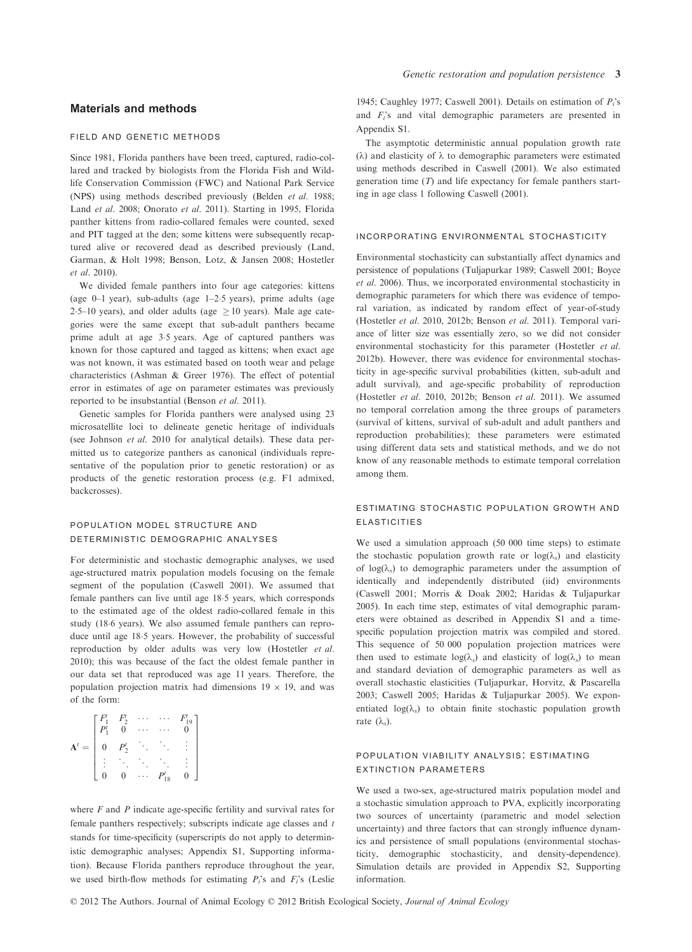# Materials and methods

#### field and genetic methods

Since 1981, Florida panthers have been treed, captured, radio-collared and tracked by biologists from the Florida Fish and Wildlife Conservation Commission (FWC) and National Park Service (NPS) using methods described previously (Belden et al. 1988; Land et al. 2008; Onorato et al. 2011). Starting in 1995, Florida panther kittens from radio-collared females were counted, sexed and PIT tagged at the den; some kittens were subsequently recaptured alive or recovered dead as described previously (Land, Garman, & Holt 1998; Benson, Lotz, & Jansen 2008; Hostetler et al. 2010).

We divided female panthers into four age categories: kittens (age  $0-1$  year), sub-adults (age  $1-2.5$  years), prime adults (age 2.5–10 years), and older adults (age  $\geq$  10 years). Male age categories were the same except that sub-adult panthers became prime adult at age 3.5 years. Age of captured panthers was known for those captured and tagged as kittens; when exact age was not known, it was estimated based on tooth wear and pelage characteristics (Ashman & Greer 1976). The effect of potential error in estimates of age on parameter estimates was previously reported to be insubstantial (Benson et al. 2011).

Genetic samples for Florida panthers were analysed using 23 microsatellite loci to delineate genetic heritage of individuals (see Johnson et al. 2010 for analytical details). These data permitted us to categorize panthers as canonical (individuals representative of the population prior to genetic restoration) or as products of the genetic restoration process (e.g. F1 admixed, backcrosses).

## population model structure and deterministic demographic analyses

For deterministic and stochastic demographic analyses, we used age-structured matrix population models focusing on the female segment of the population (Caswell 2001). We assumed that female panthers can live until age 185 years, which corresponds to the estimated age of the oldest radio-collared female in this study (186 years). We also assumed female panthers can reproduce until age 185 years. However, the probability of successful reproduction by older adults was very low (Hostetler et al. 2010); this was because of the fact the oldest female panther in our data set that reproduced was age 11 years. Therefore, the population projection matrix had dimensions  $19 \times 19$ , and was of the form:

|                | $\begin{matrix} F_2^t \\ 0 \end{matrix}$ | $\frac{1}{2}$ . $\frac{1}{2}$ |              |  |
|----------------|------------------------------------------|-------------------------------|--------------|--|
| $\overline{0}$ | $P_2^t$                                  |                               |              |  |
|                |                                          |                               |              |  |
|                | 0                                        |                               | $\mathsf{D}$ |  |

1945; Caughley 1977; Caswell 2001). Details on estimation of  $P_i$ 's and  $F_i$ 's and vital demographic parameters are presented in Appendix S1.

Genetic restoration and population persistence 3

The asymptotic deterministic annual population growth rate  $(\lambda)$  and elasticity of  $\lambda$  to demographic parameters were estimated using methods described in Caswell (2001). We also estimated generation time  $(T)$  and life expectancy for female panthers starting in age class 1 following Caswell (2001).

## incorporating environmental stochasticity

Environmental stochasticity can substantially affect dynamics and persistence of populations (Tuljapurkar 1989; Caswell 2001; Boyce et al. 2006). Thus, we incorporated environmental stochasticity in demographic parameters for which there was evidence of temporal variation, as indicated by random effect of year-of-study (Hostetler et al. 2010, 2012b; Benson et al. 2011). Temporal variance of litter size was essentially zero, so we did not consider environmental stochasticity for this parameter (Hostetler et al. 2012b). However, there was evidence for environmental stochasticity in age-specific survival probabilities (kitten, sub-adult and adult survival), and age-specific probability of reproduction (Hostetler et al. 2010, 2012b; Benson et al. 2011). We assumed no temporal correlation among the three groups of parameters (survival of kittens, survival of sub-adult and adult panthers and reproduction probabilities); these parameters were estimated using different data sets and statistical methods, and we do not know of any reasonable methods to estimate temporal correlation among them.

# estimating stochastic population growth and elasticities

We used a simulation approach (50 000 time steps) to estimate the stochastic population growth rate or  $log(\lambda_s)$  and elasticity of  $log(\lambda_s)$  to demographic parameters under the assumption of identically and independently distributed (iid) environments (Caswell 2001; Morris & Doak 2002; Haridas & Tuljapurkar 2005). In each time step, estimates of vital demographic parameters were obtained as described in Appendix S1 and a timespecific population projection matrix was compiled and stored. This sequence of 50 000 population projection matrices were then used to estimate  $log(\lambda_s)$  and elasticity of  $log(\lambda_s)$  to mean and standard deviation of demographic parameters as well as overall stochastic elasticities (Tuljapurkar, Horvitz, & Pascarella 2003; Caswell 2005; Haridas & Tuljapurkar 2005). We exponentiated  $log(\lambda_s)$  to obtain finite stochastic population growth rate  $(\lambda_a)$ .

# population viability analysis: estimating extinction parameters

We used a two-sex, age-structured matrix population model and a stochastic simulation approach to PVA, explicitly incorporating two sources of uncertainty (parametric and model selection uncertainty) and three factors that can strongly influence dynamics and persistence of small populations (environmental stochasticity, demographic stochasticity, and density-dependence). Simulation details are provided in Appendix S2, Supporting information.

where  $F$  and  $P$  indicate age-specific fertility and survival rates for female panthers respectively; subscripts indicate age classes and t stands for time-specificity (superscripts do not apply to deterministic demographic analyses; Appendix S1, Supporting information). Because Florida panthers reproduce throughout the year, we used birth-flow methods for estimating  $P_i$ 's and  $F_i$ 's (Leslie

© 2012 The Authors. Journal of Animal Ecology © 2012 British Ecological Society, Journal of Animal Ecology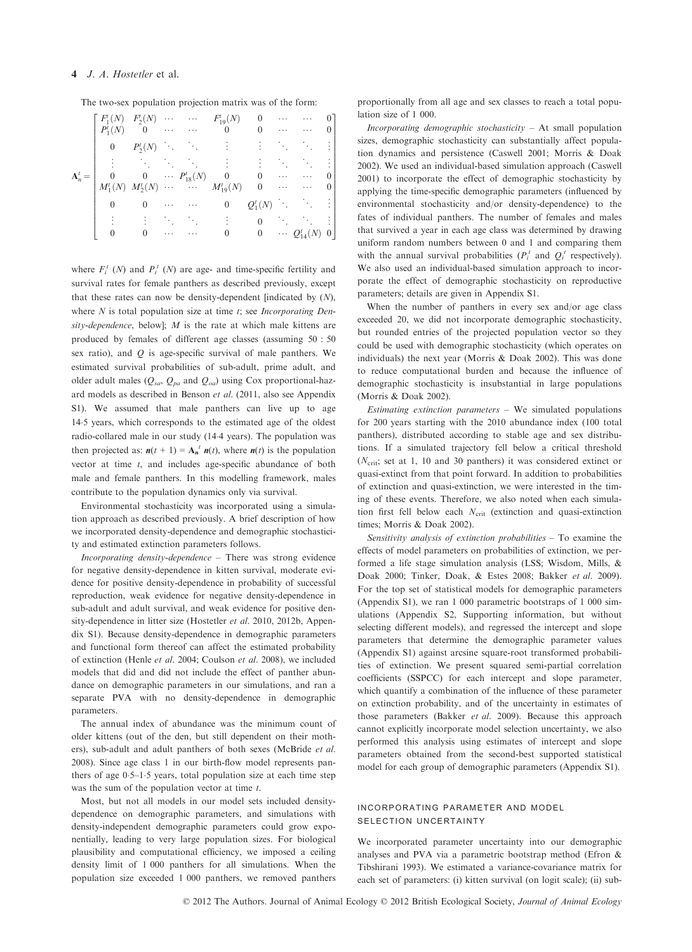## 4 J. A. Hostetler et al.

The two-sex population projection matrix was of the form:

|           | $F_1(N)$<br>$P_1(N)$ |          |                                                                        | $F'_2(N) \cdots \cdots \cdots F'_{19}(N)$<br>0   0                                                                                                 | $\overline{0}$   | $\cdots$<br>. | $\cdots$                                                   |  |
|-----------|----------------------|----------|------------------------------------------------------------------------|----------------------------------------------------------------------------------------------------------------------------------------------------|------------------|---------------|------------------------------------------------------------|--|
|           | $\mathbf{0}$         | $P_2(N)$ | $\mathcal{O}(\mathcal{O}_\mathcal{A})$ . The $\mathcal{O}_\mathcal{A}$ |                                                                                                                                                    |                  |               |                                                            |  |
|           |                      |          |                                                                        |                                                                                                                                                    |                  |               |                                                            |  |
| $A_n^t =$ |                      |          |                                                                        |                                                                                                                                                    |                  | $\cdots$      |                                                            |  |
|           |                      |          |                                                                        | $\begin{array}{ccccccccc} 0 & 0 & \cdots & P_{18}^{t}(N) & 0 & 0 \\ M_{1}^{t}(N) & M_{2}^{t}(N) & \cdots & \cdots & M_{19}^{t}(N) & 0 \end{array}$ |                  |               | $\ldots$ .<br><br><br><br><br><br><br><br><br><br><br><br> |  |
|           | $\theta$             |          |                                                                        | $\overline{0}$                                                                                                                                     | $Q_1^t(N)$       |               |                                                            |  |
|           |                      |          |                                                                        |                                                                                                                                                    |                  | Tan           |                                                            |  |
|           |                      | 0        |                                                                        | 0                                                                                                                                                  | $\boldsymbol{0}$ |               | $\cdots Q_{14}^t(N)$                                       |  |

where  $F_i^t$  (N) and  $P_i^t$  (N) are age- and time-specific fertility and survival rates for female panthers as described previously, except that these rates can now be density-dependent [indicated by  $(N)$ , where  $N$  is total population size at time  $t$ ; see *Incorporating Den*sity-dependence, below];  $M$  is the rate at which male kittens are produced by females of different age classes (assuming 50 : 50 sex ratio), and  $Q$  is age-specific survival of male panthers. We estimated survival probabilities of sub-adult, prime adult, and older adult males ( $Q_{sa}$ ,  $Q_{pa}$  and  $Q_{oa}$ ) using Cox proportional-hazard models as described in Benson et al. (2011, also see Appendix S1). We assumed that male panthers can live up to age 145 years, which corresponds to the estimated age of the oldest radio-collared male in our study (144 years). The population was then projected as:  $n(t + 1) = A_n^t n(t)$ , where  $n(t)$  is the population vector at time  $t$ , and includes age-specific abundance of both male and female panthers. In this modelling framework, males contribute to the population dynamics only via survival.

Environmental stochasticity was incorporated using a simulation approach as described previously. A brief description of how we incorporated density-dependence and demographic stochasticity and estimated extinction parameters follows.

Incorporating density-dependence – There was strong evidence for negative density-dependence in kitten survival, moderate evidence for positive density-dependence in probability of successful reproduction, weak evidence for negative density-dependence in sub-adult and adult survival, and weak evidence for positive density-dependence in litter size (Hostetler et al. 2010, 2012b, Appendix S1). Because density-dependence in demographic parameters and functional form thereof can affect the estimated probability of extinction (Henle et al. 2004; Coulson et al. 2008), we included models that did and did not include the effect of panther abundance on demographic parameters in our simulations, and ran a separate PVA with no density-dependence in demographic parameters.

The annual index of abundance was the minimum count of older kittens (out of the den, but still dependent on their mothers), sub-adult and adult panthers of both sexes (McBride et al. 2008). Since age class 1 in our birth-flow model represents panthers of age  $0.5-1.5$  years, total population size at each time step was the sum of the population vector at time  $t$ .

Most, but not all models in our model sets included densitydependence on demographic parameters, and simulations with density-independent demographic parameters could grow exponentially, leading to very large population sizes. For biological plausibility and computational efficiency, we imposed a ceiling density limit of 1 000 panthers for all simulations. When the population size exceeded 1 000 panthers, we removed panthers proportionally from all age and sex classes to reach a total population size of 1 000.

Incorporating demographic stochasticity – At small population sizes, demographic stochasticity can substantially affect population dynamics and persistence (Caswell 2001; Morris & Doak 2002). We used an individual-based simulation approach (Caswell 2001) to incorporate the effect of demographic stochasticity by applying the time-specific demographic parameters (influenced by environmental stochasticity and/or density-dependence) to the fates of individual panthers. The number of females and males that survived a year in each age class was determined by drawing uniform random numbers between 0 and 1 and comparing them with the annual survival probabilities  $(P_i^t \text{ and } Q_i^t \text{ respectively}).$ We also used an individual-based simulation approach to incorporate the effect of demographic stochasticity on reproductive parameters; details are given in Appendix S1.

When the number of panthers in every sex and/or age class exceeded 20, we did not incorporate demographic stochasticity, but rounded entries of the projected population vector so they could be used with demographic stochasticity (which operates on individuals) the next year (Morris & Doak 2002). This was done to reduce computational burden and because the influence of demographic stochasticity is insubstantial in large populations (Morris & Doak 2002).

Estimating extinction parameters  $-$  We simulated populations for 200 years starting with the 2010 abundance index (100 total panthers), distributed according to stable age and sex distributions. If a simulated trajectory fell below a critical threshold  $(N_{\text{crit}}; \text{ set at } 1, 10 \text{ and } 30 \text{ panthers})$  it was considered extinct or quasi-extinct from that point forward. In addition to probabilities of extinction and quasi-extinction, we were interested in the timing of these events. Therefore, we also noted when each simulation first fell below each  $N_{\text{crit}}$  (extinction and quasi-extinction times; Morris & Doak 2002).

Sensitivity analysis of extinction probabilities – To examine the effects of model parameters on probabilities of extinction, we performed a life stage simulation analysis (LSS; Wisdom, Mills, & Doak 2000; Tinker, Doak, & Estes 2008; Bakker et al. 2009). For the top set of statistical models for demographic parameters (Appendix S1), we ran 1 000 parametric bootstraps of 1 000 simulations (Appendix S2, Supporting information, but without selecting different models), and regressed the intercept and slope parameters that determine the demographic parameter values (Appendix S1) against arcsine square-root transformed probabilities of extinction. We present squared semi-partial correlation coefficients (SSPCC) for each intercept and slope parameter, which quantify a combination of the influence of these parameter on extinction probability, and of the uncertainty in estimates of those parameters (Bakker et al. 2009). Because this approach cannot explicitly incorporate model selection uncertainty, we also performed this analysis using estimates of intercept and slope parameters obtained from the second-best supported statistical model for each group of demographic parameters (Appendix S1).

## incorporating parameter and model selection uncertainty

We incorporated parameter uncertainty into our demographic analyses and PVA via a parametric bootstrap method (Efron & Tibshirani 1993). We estimated a variance-covariance matrix for each set of parameters: (i) kitten survival (on logit scale); (ii) sub-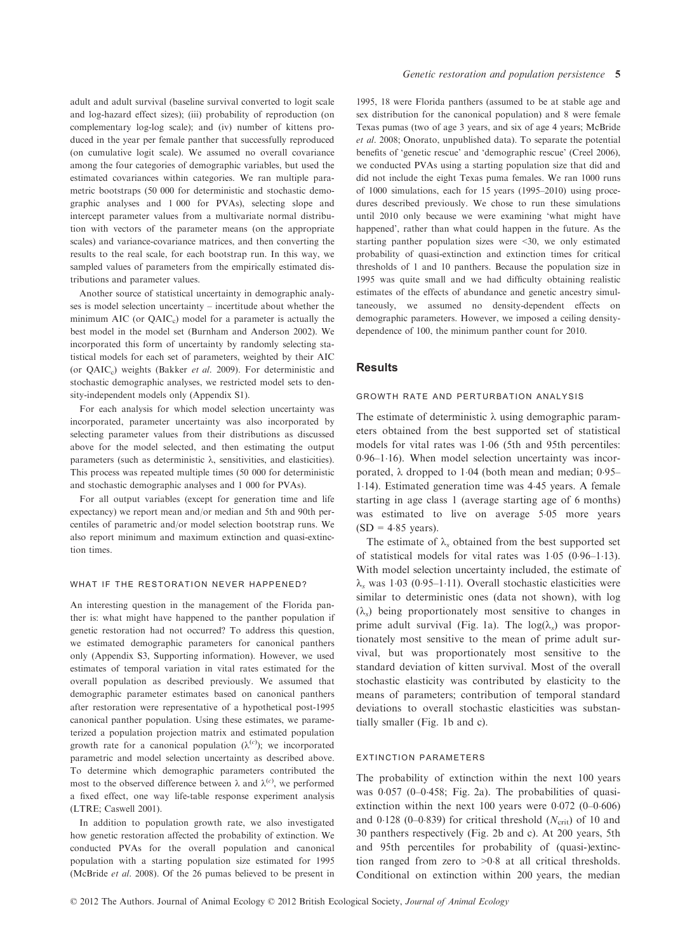adult and adult survival (baseline survival converted to logit scale and log-hazard effect sizes); (iii) probability of reproduction (on complementary log-log scale); and (iv) number of kittens produced in the year per female panther that successfully reproduced (on cumulative logit scale). We assumed no overall covariance among the four categories of demographic variables, but used the estimated covariances within categories. We ran multiple parametric bootstraps (50 000 for deterministic and stochastic demographic analyses and 1 000 for PVAs), selecting slope and intercept parameter values from a multivariate normal distribution with vectors of the parameter means (on the appropriate scales) and variance-covariance matrices, and then converting the results to the real scale, for each bootstrap run. In this way, we sampled values of parameters from the empirically estimated distributions and parameter values.

Another source of statistical uncertainty in demographic analyses is model selection uncertainty – incertitude about whether the minimum AIC (or  $QAIC<sub>c</sub>$ ) model for a parameter is actually the best model in the model set (Burnham and Anderson 2002). We incorporated this form of uncertainty by randomly selecting statistical models for each set of parameters, weighted by their AIC (or  $QAIC<sub>c</sub>$ ) weights (Bakker *et al.* 2009). For deterministic and stochastic demographic analyses, we restricted model sets to density-independent models only (Appendix S1).

For each analysis for which model selection uncertainty was incorporated, parameter uncertainty was also incorporated by selecting parameter values from their distributions as discussed above for the model selected, and then estimating the output parameters (such as deterministic  $\lambda$ , sensitivities, and elasticities). This process was repeated multiple times (50 000 for deterministic and stochastic demographic analyses and 1 000 for PVAs).

For all output variables (except for generation time and life expectancy) we report mean and/or median and 5th and 90th percentiles of parametric and/or model selection bootstrap runs. We also report minimum and maximum extinction and quasi-extinction times.

#### WHAT IF THE RESTORATION NEVER HAPPENED?

An interesting question in the management of the Florida panther is: what might have happened to the panther population if genetic restoration had not occurred? To address this question, we estimated demographic parameters for canonical panthers only (Appendix S3, Supporting information). However, we used estimates of temporal variation in vital rates estimated for the overall population as described previously. We assumed that demographic parameter estimates based on canonical panthers after restoration were representative of a hypothetical post-1995 canonical panther population. Using these estimates, we parameterized a population projection matrix and estimated population growth rate for a canonical population  $(\lambda^{(c)})$ ; we incorporated<br>nonporately and model selection uncertainty as described above parametric and model selection uncertainty as described above. To determine which demographic parameters contributed the most to the observed difference between  $\lambda$  and  $\lambda^{(c)}$ , we performed a fixed effect, one way life-table response experiment analysis (LTRE; Caswell 2001).

In addition to population growth rate, we also investigated how genetic restoration affected the probability of extinction. We conducted PVAs for the overall population and canonical population with a starting population size estimated for 1995 (McBride et al. 2008). Of the 26 pumas believed to be present in

1995, 18 were Florida panthers (assumed to be at stable age and sex distribution for the canonical population) and 8 were female Texas pumas (two of age 3 years, and six of age 4 years; McBride et al. 2008; Onorato, unpublished data). To separate the potential benefits of 'genetic rescue' and 'demographic rescue' (Creel 2006), we conducted PVAs using a starting population size that did and did not include the eight Texas puma females. We ran 1000 runs of 1000 simulations, each for 15 years (1995–2010) using procedures described previously. We chose to run these simulations until 2010 only because we were examining 'what might have happened', rather than what could happen in the future. As the starting panther population sizes were <30, we only estimated probability of quasi-extinction and extinction times for critical thresholds of 1 and 10 panthers. Because the population size in 1995 was quite small and we had difficulty obtaining realistic estimates of the effects of abundance and genetic ancestry simultaneously, we assumed no density-dependent effects on demographic parameters. However, we imposed a ceiling densitydependence of 100, the minimum panther count for 2010.

#### **Results**

#### growth rate and perturbation analysis

The estimate of deterministic  $\lambda$  using demographic parameters obtained from the best supported set of statistical models for vital rates was 1.06 (5th and 95th percentiles:  $0.96-1.16$ ). When model selection uncertainty was incorporated,  $\lambda$  dropped to 1.04 (both mean and median; 0.95– 114). Estimated generation time was 445 years. A female starting in age class 1 (average starting age of 6 months) was estimated to live on average 5.05 more years  $(SD = 4.85 \text{ years}).$ 

The estimate of  $\lambda_s$  obtained from the best supported set of statistical models for vital rates was  $1.05$  (0.96–1.13). With model selection uncertainty included, the estimate of  $\lambda_s$  was 1.03 (0.95–1.11). Overall stochastic elasticities were similar to deterministic ones (data not shown), with log  $(\lambda_s)$  being proportionately most sensitive to changes in prime adult survival (Fig. 1a). The  $log(\lambda_s)$  was proportionately most sensitive to the mean of prime adult survival, but was proportionately most sensitive to the standard deviation of kitten survival. Most of the overall stochastic elasticity was contributed by elasticity to the means of parameters; contribution of temporal standard deviations to overall stochastic elasticities was substantially smaller (Fig. 1b and c).

#### extinction parameters

The probability of extinction within the next 100 years was  $0.057$  (0-0.458; Fig. 2a). The probabilities of quasiextinction within the next 100 years were  $0.072$  (0–0.606) and 0.128 (0-0.839) for critical threshold ( $N_{\text{crit}}$ ) of 10 and 30 panthers respectively (Fig. 2b and c). At 200 years, 5th and 95th percentiles for probability of (quasi-)extinction ranged from zero to >0.8 at all critical thresholds. Conditional on extinction within 200 years, the median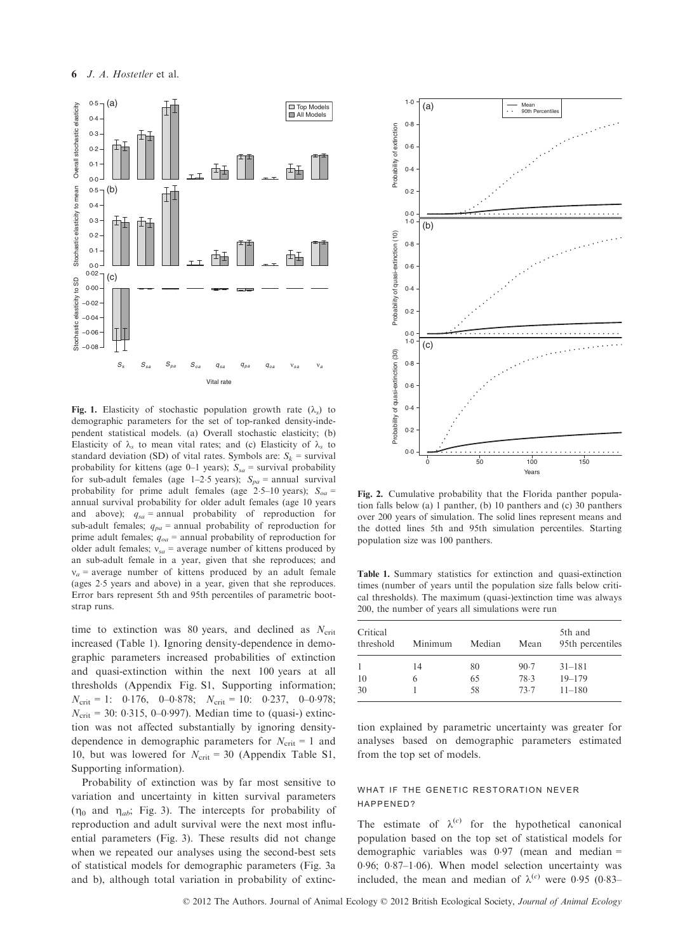

Fig. 1. Elasticity of stochastic population growth rate  $(\lambda_s)$  to demographic parameters for the set of top-ranked density-independent statistical models. (a) Overall stochastic elasticity; (b) Elasticity of  $\lambda_s$  to mean vital rates; and (c) Elasticity of  $\lambda_s$  to standard deviation (SD) of vital rates. Symbols are:  $S_k$  = survival probability for kittens (age 0–1 years);  $S_{sa}$  = survival probability for sub-adult females (age 1–2.5 years);  $S_{pa}$  = annual survival probability for prime adult females (age 2.5–10 years);  $S_{oa}$  = annual survival probability for older adult females (age 10 years and above);  $q_{sa}$  = annual probability of reproduction for sub-adult females;  $q_{pa}$  = annual probability of reproduction for prime adult females;  $q_{oa}$  = annual probability of reproduction for older adult females;  $v_{sa}$  = average number of kittens produced by an sub-adult female in a year, given that she reproduces; and  $v_a$  = average number of kittens produced by an adult female (ages 25 years and above) in a year, given that she reproduces. Error bars represent 5th and 95th percentiles of parametric bootstrap runs.

time to extinction was 80 years, and declined as  $N_{\text{crit}}$ increased (Table 1). Ignoring density-dependence in demographic parameters increased probabilities of extinction and quasi-extinction within the next 100 years at all thresholds (Appendix Fig. S1, Supporting information;  $N_{\text{crit}} = 1$ : 0.176, 0–0.878;  $N_{\text{crit}} = 10$ : 0.237, 0–0.978;  $N_{\text{crit}} = 30: 0.315, 0-0.997$ ). Median time to (quasi-) extinction was not affected substantially by ignoring densitydependence in demographic parameters for  $N_{\text{crit}} = 1$  and 10, but was lowered for  $N_{\text{crit}} = 30$  (Appendix Table S1, Supporting information).

Probability of extinction was by far most sensitive to variation and uncertainty in kitten survival parameters  $(\eta_0$  and  $\eta_{ab}$ ; Fig. 3). The intercepts for probability of reproduction and adult survival were the next most influential parameters (Fig. 3). These results did not change when we repeated our analyses using the second-best sets of statistical models for demographic parameters (Fig. 3a and b), although total variation in probability of extinc-



Fig. 2. Cumulative probability that the Florida panther population falls below (a) 1 panther, (b) 10 panthers and (c) 30 panthers over 200 years of simulation. The solid lines represent means and the dotted lines 5th and 95th simulation percentiles. Starting population size was 100 panthers.

Table 1. Summary statistics for extinction and quasi-extinction times (number of years until the population size falls below critical thresholds). The maximum (quasi-)extinction time was always 200, the number of years all simulations were run

| Critical<br>threshold | Minimum | Median | Mean | 5th and<br>95th percentiles |
|-----------------------|---------|--------|------|-----------------------------|
| $\mathbf{1}$          | 14      | 80     | 90.7 | $31 - 181$                  |
| 10                    | 6       | 65     | 78.3 | $19 - 179$                  |
| 30                    |         | 58     | 73.7 | $11 - 180$                  |

tion explained by parametric uncertainty was greater for analyses based on demographic parameters estimated from the top set of models.

## WHAT IF THE GENETIC RESTORATION NEVER happened?

The estimate of  $\lambda^{(c)}$  for the hypothetical canonical population based on the top set of statistical models for demographic variables was  $0.97$  (mean and median = 0.96; 0.87-1.06). When model selection uncertainty was included, the mean and median of  $\lambda^{(c)}$  were 0.95 (0.83–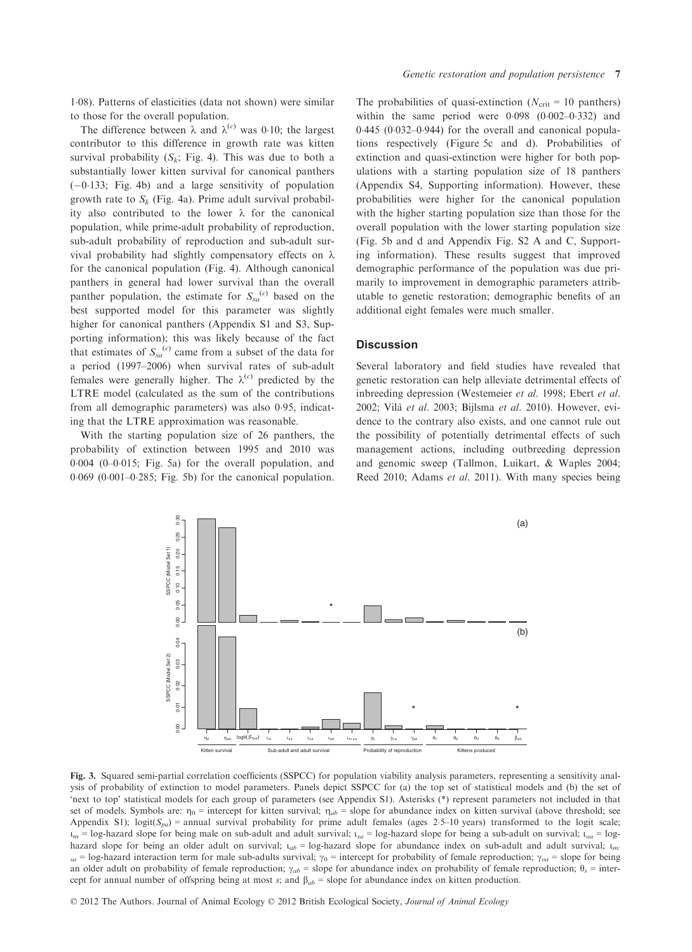108). Patterns of elasticities (data not shown) were similar to those for the overall population.

contributor to this difference in growth rate was kitten survival probability  $(S_k; Fig. 4)$ . This was due to both a substantially lower kitten survival for canonical panthers  $(-0.133;$  Fig. 4b) and a large sensitivity of population growth rate to  $S_k$  (Fig. 4a). Prime adult survival probability also contributed to the lower  $\lambda$  for the canonical population, while prime-adult probability of reproduction, sub-adult probability of reproduction and sub-adult survival probability had slightly compensatory effects on  $\lambda$ for the canonical population (Fig. 4). Although canonical panthers in general had lower survival than the overall panther population, the estimate for  $S_{sa}^{(c)}$  based on the best supported model for this parameter was slightly higher for canonical panthers (Appendix S1 and S3, Supporting information); this was likely because of the fact that estimates of  $S_{sa}^{(c)}$  came from a subset of the data for a period (1997–2006) when survival rates of sub-adult females were generally higher. The  $\lambda^{(c)}$  predicted by the LTRE model (calculated as the sum of the contributions from all demographic parameters) was also 0.95, indicating that the LTRE approximation was reasonable.

With the starting population size of 26 panthers, the probability of extinction between 1995 and 2010 was  $0.004$   $(0-0.015;$  Fig. 5a) for the overall population, and  $0.069$   $(0.001-0.285;$  Fig. 5b) for the canonical population.

The probabilities of quasi-extinction ( $N_{\text{crit}} = 10$  panthers) within the same period were  $0.098$   $(0.002-0.332)$  and  $0.445$  ( $0.032-0.944$ ) for the overall and canonical populations respectively (Figure 5c and d). Probabilities of extinction and quasi-extinction were higher for both populations with a starting population size of 18 panthers (Appendix S4, Supporting information). However, these probabilities were higher for the canonical population with the higher starting population size than those for the overall population with the lower starting population size (Fig. 5b and d and Appendix Fig. S2 A and C, Supporting information). These results suggest that improved demographic performance of the population was due primarily to improvement in demographic parameters attributable to genetic restoration; demographic benefits of an additional eight females were much smaller.

## **Discussion**

Several laboratory and field studies have revealed that genetic restoration can help alleviate detrimental effects of inbreeding depression (Westemeier et al. 1998; Ebert et al. 2002; Vilà et al. 2003; Bijlsma et al. 2010). However, evidence to the contrary also exists, and one cannot rule out the possibility of potentially detrimental effects of such management actions, including outbreeding depression and genomic sweep (Tallmon, Luikart, & Waples 2004; Reed 2010; Adams et al. 2011). With many species being



Fig. 3. Squared semi-partial correlation coefficients (SSPCC) for population viability analysis parameters, representing a sensitivity analysis of probability of extinction to model parameters. Panels depict SSPCC for (a) the top set of statistical models and (b) the set of 'next to top' statistical models for each group of parameters (see Appendix S1). Asterisks (\*) represent parameters not included in that set of models. Symbols are:  $\eta_0$  = intercept for kitten survival;  $\eta_{ab}$  = slope for abundance index on kitten survival (above threshold; see Appendix S1); logit( $S_{pa}$ ) = annual survival probability for prime adult females (ages 2.5–10 years) transformed to the logit scale;  $\mu_m$  = log-hazard slope for being male on sub-adult and adult survival;  $\mu_{sa}$  = log-hazard slope for being a sub-adult on survival;  $\mu_{oa}$  = loghazard slope for being an older adult on survival;  $t_{ab}$  = log-hazard slope for abundance index on sub-adult and adult survival;  $t_{m}$ :  $s_a$  = log-hazard interaction term for male sub-adults survival;  $\gamma_0$  = intercept for probability of female reproduction;  $\gamma_{oa}$  = slope for being an older adult on probability of female reproduction;  $\gamma_{ab}$  = slope for abundance index on probability of female reproduction;  $\theta_s$  = intercept for annual number of offspring being at most s; and  $\beta_{ab}$  = slope for abundance index on kitten production.

© 2012 The Authors. Journal of Animal Ecology © 2012 British Ecological Society, Journal of Animal Ecology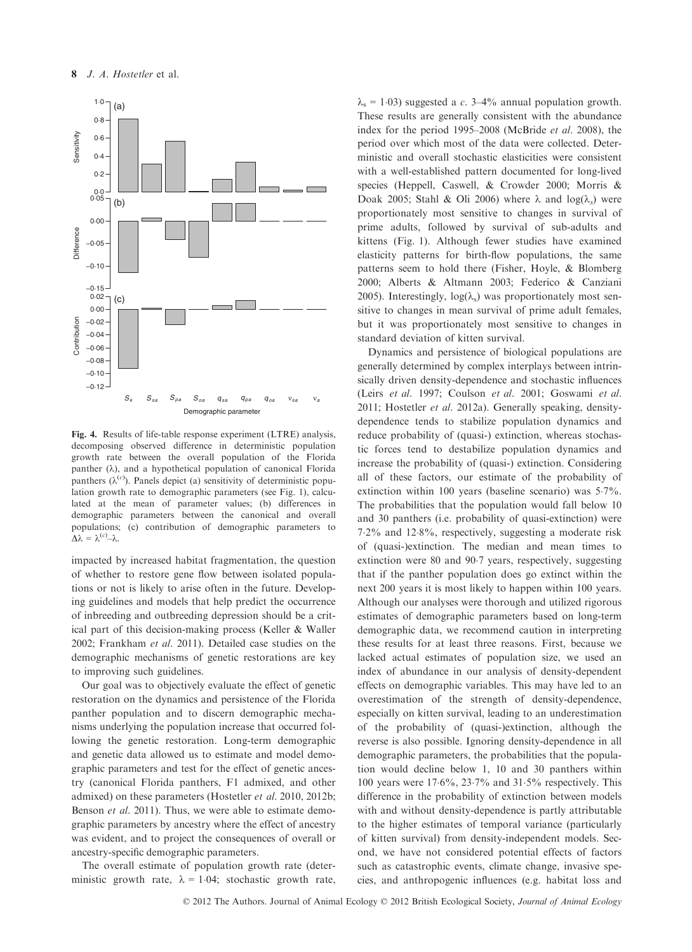

Fig. 4. Results of life-table response experiment (LTRE) analysis, decomposing observed difference in deterministic population growth rate between the overall population of the Florida panther  $(\lambda)$ , and a hypothetical population of canonical Florida panthers ( $\lambda^{(c)}$ ). Panels depict (a) sensitivity of deterministic population growth rate to demographic parameters (see Fig. 1), calculation lation growth rate to demographic parameters (see Fig. 1), calculated at the mean of parameter values; (b) differences in demographic parameters between the canonical and overall populations; (c) contribution of demographic parameters to  $\Delta\lambda = \lambda^{(c)} - \lambda.$ 

impacted by increased habitat fragmentation, the question of whether to restore gene flow between isolated populations or not is likely to arise often in the future. Developing guidelines and models that help predict the occurrence of inbreeding and outbreeding depression should be a critical part of this decision-making process (Keller & Waller 2002; Frankham et al. 2011). Detailed case studies on the demographic mechanisms of genetic restorations are key to improving such guidelines.

Our goal was to objectively evaluate the effect of genetic restoration on the dynamics and persistence of the Florida panther population and to discern demographic mechanisms underlying the population increase that occurred following the genetic restoration. Long-term demographic and genetic data allowed us to estimate and model demographic parameters and test for the effect of genetic ancestry (canonical Florida panthers, F1 admixed, and other admixed) on these parameters (Hostetler et al. 2010, 2012b; Benson et al. 2011). Thus, we were able to estimate demographic parameters by ancestry where the effect of ancestry was evident, and to project the consequences of overall or ancestry-specific demographic parameters.

The overall estimate of population growth rate (deterministic growth rate,  $\lambda = 1.04$ ; stochastic growth rate,  $\lambda_s = 1.03$ ) suggested a c. 3–4% annual population growth. These results are generally consistent with the abundance index for the period 1995–2008 (McBride et al. 2008), the period over which most of the data were collected. Deterministic and overall stochastic elasticities were consistent with a well-established pattern documented for long-lived species (Heppell, Caswell, & Crowder 2000; Morris & Doak 2005; Stahl & Oli 2006) where  $\lambda$  and  $log(\lambda_s)$  were proportionately most sensitive to changes in survival of prime adults, followed by survival of sub-adults and kittens (Fig. 1). Although fewer studies have examined elasticity patterns for birth-flow populations, the same patterns seem to hold there (Fisher, Hoyle, & Blomberg 2000; Alberts & Altmann 2003; Federico & Canziani 2005). Interestingly,  $log(\lambda_s)$  was proportionately most sensitive to changes in mean survival of prime adult females, but it was proportionately most sensitive to changes in standard deviation of kitten survival.

Dynamics and persistence of biological populations are generally determined by complex interplays between intrinsically driven density-dependence and stochastic influences (Leirs et al. 1997; Coulson et al. 2001; Goswami et al. 2011; Hostetler et al. 2012a). Generally speaking, densitydependence tends to stabilize population dynamics and reduce probability of (quasi-) extinction, whereas stochastic forces tend to destabilize population dynamics and increase the probability of (quasi-) extinction. Considering all of these factors, our estimate of the probability of extinction within 100 years (baseline scenario) was 57%. The probabilities that the population would fall below 10 and 30 panthers (i.e. probability of quasi-extinction) were 72% and 128%, respectively, suggesting a moderate risk of (quasi-)extinction. The median and mean times to extinction were 80 and 907 years, respectively, suggesting that if the panther population does go extinct within the next 200 years it is most likely to happen within 100 years. Although our analyses were thorough and utilized rigorous estimates of demographic parameters based on long-term demographic data, we recommend caution in interpreting these results for at least three reasons. First, because we lacked actual estimates of population size, we used an index of abundance in our analysis of density-dependent effects on demographic variables. This may have led to an overestimation of the strength of density-dependence, especially on kitten survival, leading to an underestimation of the probability of (quasi-)extinction, although the reverse is also possible. Ignoring density-dependence in all demographic parameters, the probabilities that the population would decline below 1, 10 and 30 panthers within 100 years were  $17.6\%$ ,  $23.7\%$  and  $31.5\%$  respectively. This difference in the probability of extinction between models with and without density-dependence is partly attributable to the higher estimates of temporal variance (particularly of kitten survival) from density-independent models. Second, we have not considered potential effects of factors such as catastrophic events, climate change, invasive species, and anthropogenic influences (e.g. habitat loss and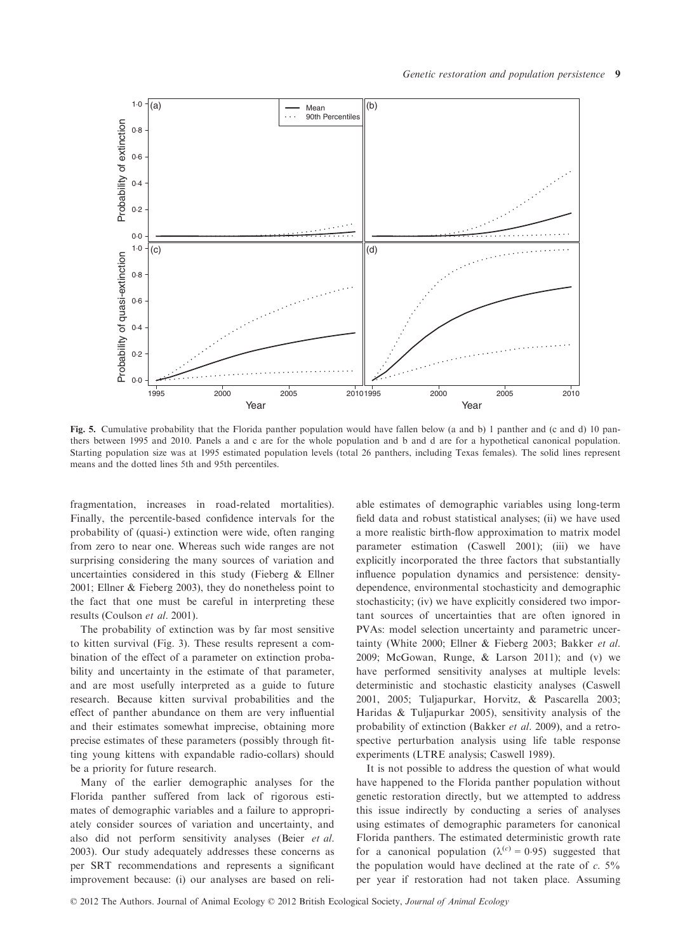

Fig. 5. Cumulative probability that the Florida panther population would have fallen below (a and b) 1 panther and (c and d) 10 panthers between 1995 and 2010. Panels a and c are for the whole population and b and d are for a hypothetical canonical population. Starting population size was at 1995 estimated population levels (total 26 panthers, including Texas females). The solid lines represent means and the dotted lines 5th and 95th percentiles.

fragmentation, increases in road-related mortalities). Finally, the percentile-based confidence intervals for the probability of (quasi-) extinction were wide, often ranging from zero to near one. Whereas such wide ranges are not surprising considering the many sources of variation and uncertainties considered in this study (Fieberg & Ellner 2001; Ellner & Fieberg 2003), they do nonetheless point to the fact that one must be careful in interpreting these results (Coulson et al. 2001).

The probability of extinction was by far most sensitive to kitten survival (Fig. 3). These results represent a combination of the effect of a parameter on extinction probability and uncertainty in the estimate of that parameter, and are most usefully interpreted as a guide to future research. Because kitten survival probabilities and the effect of panther abundance on them are very influential and their estimates somewhat imprecise, obtaining more precise estimates of these parameters (possibly through fitting young kittens with expandable radio-collars) should be a priority for future research.

Many of the earlier demographic analyses for the Florida panther suffered from lack of rigorous estimates of demographic variables and a failure to appropriately consider sources of variation and uncertainty, and also did not perform sensitivity analyses (Beier et al. 2003). Our study adequately addresses these concerns as per SRT recommendations and represents a significant improvement because: (i) our analyses are based on reliable estimates of demographic variables using long-term field data and robust statistical analyses; (ii) we have used a more realistic birth-flow approximation to matrix model parameter estimation (Caswell 2001); (iii) we have explicitly incorporated the three factors that substantially influence population dynamics and persistence: densitydependence, environmental stochasticity and demographic stochasticity; (iv) we have explicitly considered two important sources of uncertainties that are often ignored in PVAs: model selection uncertainty and parametric uncertainty (White 2000; Ellner & Fieberg 2003; Bakker et al. 2009; McGowan, Runge, & Larson 2011); and (v) we have performed sensitivity analyses at multiple levels: deterministic and stochastic elasticity analyses (Caswell 2001, 2005; Tuljapurkar, Horvitz, & Pascarella 2003; Haridas & Tuljapurkar 2005), sensitivity analysis of the probability of extinction (Bakker et al. 2009), and a retrospective perturbation analysis using life table response experiments (LTRE analysis; Caswell 1989).

It is not possible to address the question of what would have happened to the Florida panther population without genetic restoration directly, but we attempted to address this issue indirectly by conducting a series of analyses using estimates of demographic parameters for canonical Florida panthers. The estimated deterministic growth rate for a canonical population ( $\lambda^{(c)} = 0.95$ ) suggested that the population would have declined at the rate of  $c$ . 5% per year if restoration had not taken place. Assuming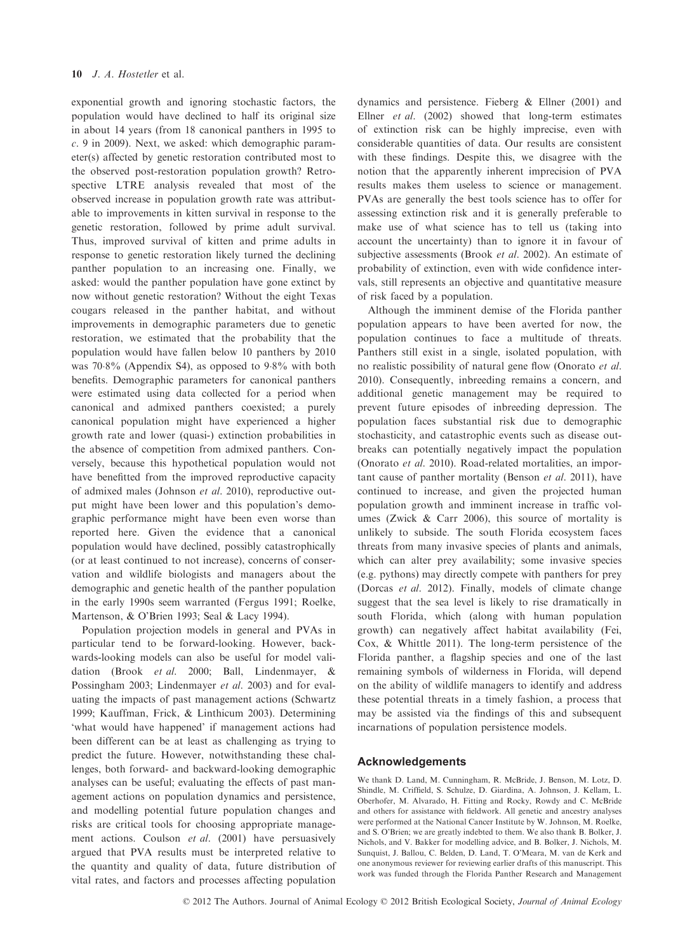exponential growth and ignoring stochastic factors, the population would have declined to half its original size in about 14 years (from 18 canonical panthers in 1995 to c. 9 in 2009). Next, we asked: which demographic parameter(s) affected by genetic restoration contributed most to the observed post-restoration population growth? Retrospective LTRE analysis revealed that most of the observed increase in population growth rate was attributable to improvements in kitten survival in response to the genetic restoration, followed by prime adult survival. Thus, improved survival of kitten and prime adults in response to genetic restoration likely turned the declining panther population to an increasing one. Finally, we asked: would the panther population have gone extinct by now without genetic restoration? Without the eight Texas cougars released in the panther habitat, and without improvements in demographic parameters due to genetic restoration, we estimated that the probability that the population would have fallen below 10 panthers by 2010 was 708% (Appendix S4), as opposed to 98% with both benefits. Demographic parameters for canonical panthers were estimated using data collected for a period when canonical and admixed panthers coexisted; a purely canonical population might have experienced a higher growth rate and lower (quasi-) extinction probabilities in the absence of competition from admixed panthers. Conversely, because this hypothetical population would not have benefitted from the improved reproductive capacity of admixed males (Johnson et al. 2010), reproductive output might have been lower and this population's demographic performance might have been even worse than reported here. Given the evidence that a canonical population would have declined, possibly catastrophically (or at least continued to not increase), concerns of conservation and wildlife biologists and managers about the demographic and genetic health of the panther population in the early 1990s seem warranted (Fergus 1991; Roelke, Martenson, & O'Brien 1993; Seal & Lacy 1994).

Population projection models in general and PVAs in particular tend to be forward-looking. However, backwards-looking models can also be useful for model validation (Brook et al. 2000; Ball, Lindenmayer, & Possingham 2003; Lindenmayer et al. 2003) and for evaluating the impacts of past management actions (Schwartz 1999; Kauffman, Frick, & Linthicum 2003). Determining 'what would have happened' if management actions had been different can be at least as challenging as trying to predict the future. However, notwithstanding these challenges, both forward- and backward-looking demographic analyses can be useful; evaluating the effects of past management actions on population dynamics and persistence, and modelling potential future population changes and risks are critical tools for choosing appropriate management actions. Coulson et al. (2001) have persuasively argued that PVA results must be interpreted relative to the quantity and quality of data, future distribution of vital rates, and factors and processes affecting population dynamics and persistence. Fieberg & Ellner (2001) and Ellner et al. (2002) showed that long-term estimates of extinction risk can be highly imprecise, even with considerable quantities of data. Our results are consistent with these findings. Despite this, we disagree with the notion that the apparently inherent imprecision of PVA results makes them useless to science or management. PVAs are generally the best tools science has to offer for assessing extinction risk and it is generally preferable to make use of what science has to tell us (taking into account the uncertainty) than to ignore it in favour of subjective assessments (Brook et al. 2002). An estimate of probability of extinction, even with wide confidence intervals, still represents an objective and quantitative measure of risk faced by a population.

Although the imminent demise of the Florida panther population appears to have been averted for now, the population continues to face a multitude of threats. Panthers still exist in a single, isolated population, with no realistic possibility of natural gene flow (Onorato et al. 2010). Consequently, inbreeding remains a concern, and additional genetic management may be required to prevent future episodes of inbreeding depression. The population faces substantial risk due to demographic stochasticity, and catastrophic events such as disease outbreaks can potentially negatively impact the population (Onorato et al. 2010). Road-related mortalities, an important cause of panther mortality (Benson et al. 2011), have continued to increase, and given the projected human population growth and imminent increase in traffic volumes (Zwick  $\&$  Carr 2006), this source of mortality is unlikely to subside. The south Florida ecosystem faces threats from many invasive species of plants and animals, which can alter prey availability; some invasive species (e.g. pythons) may directly compete with panthers for prey (Dorcas et al. 2012). Finally, models of climate change suggest that the sea level is likely to rise dramatically in south Florida, which (along with human population growth) can negatively affect habitat availability (Fei, Cox, & Whittle 2011). The long-term persistence of the Florida panther, a flagship species and one of the last remaining symbols of wilderness in Florida, will depend on the ability of wildlife managers to identify and address these potential threats in a timely fashion, a process that may be assisted via the findings of this and subsequent incarnations of population persistence models.

## Acknowledgements

We thank D. Land, M. Cunningham, R. McBride, J. Benson, M. Lotz, D. Shindle, M. Criffield, S. Schulze, D. Giardina, A. Johnson, J. Kellam, L. Oberhofer, M. Alvarado, H. Fitting and Rocky, Rowdy and C. McBride and others for assistance with fieldwork. All genetic and ancestry analyses were performed at the National Cancer Institute by W. Johnson, M. Roelke, and S. O'Brien; we are greatly indebted to them. We also thank B. Bolker, J. Nichols, and V. Bakker for modelling advice, and B. Bolker, J. Nichols, M. Sunquist, J. Ballou, C. Belden, D. Land, T. O'Meara, M. van de Kerk and one anonymous reviewer for reviewing earlier drafts of this manuscript. This work was funded through the Florida Panther Research and Management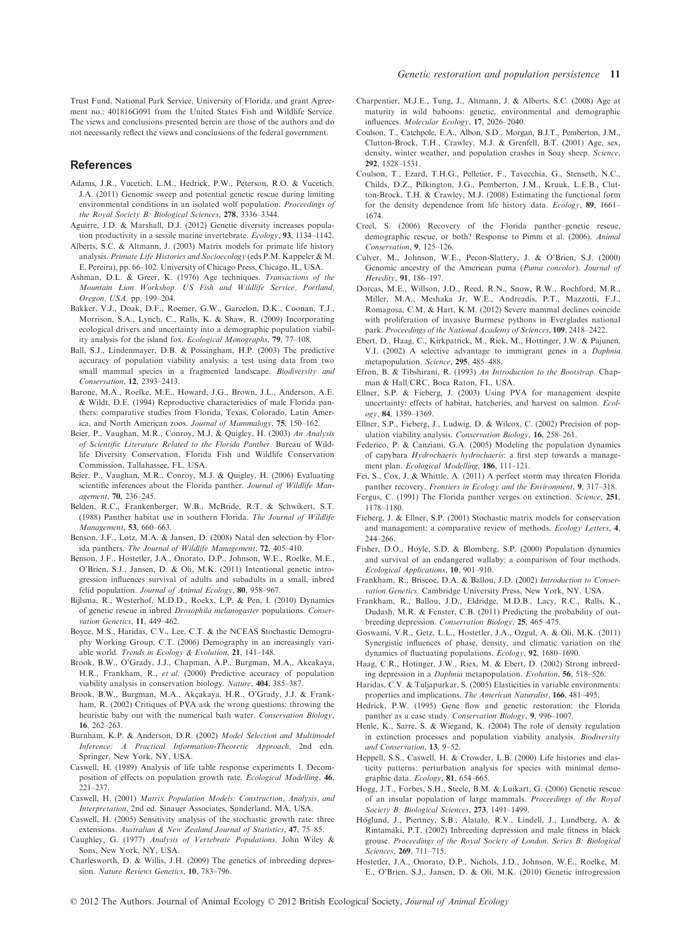Trust Fund, National Park Service, University of Florida, and grant Agreement no.: 401816G091 from the United States Fish and Wildlife Service. The views and conclusions presented herein are those of the authors and do not necessarily reflect the views and conclusions of the federal government.

#### References

- Adams, J.R., Vucetich, L.M., Hedrick, P.W., Peterson, R.O. & Vucetich, J.A. (2011) Genomic sweep and potential genetic rescue during limiting environmental conditions in an isolated wolf population. Proceedings of the Royal Society B: Biological Sciences, 278, 3336–3344.
- Aguirre, J.D. & Marshall, D.J. (2012) Genetic diversity increases population productivity in a sessile marine invertebrate. Ecology, 93, 1134–1142.
- Alberts, S.C. & Altmann, J. (2003) Matrix models for primate life history analysis. Primate Life Histories and Socioecology (eds P.M. Kappeler & M. E. Pereira), pp. 66–102. University of Chicago Press, Chicago, IL, USA.
- Ashman, D.L. & Greer, K. (1976) Age techniques. Transactions of the Mountain Lion Workshop. US Fish and Wildlife Service, Portland, Oregon, USA. pp. 199–204.
- Bakker, V.J., Doak, D.F., Roemer, G.W., Garcelon, D.K., Coonan, T.J., Morrison, S.A., Lynch, C., Ralls, K. & Shaw, R. (2009) Incorporating ecological drivers and uncertainty into a demographic population viability analysis for the island fox. Ecological Monographs, 79, 77–108.
- Ball, S.J., Lindenmayer, D.B. & Possingham, H.P. (2003) The predictive accuracy of population viability analysis: a test using data from two small mammal species in a fragmented landscape. Biodiversity and Conservation, 12, 2393–2413.
- Barone, M.A., Roelke, M.E., Howard, J.G., Brown, J.L., Anderson, A.E. & Wildt, D.E. (1994) Reproductive characteristics of male Florida panthers: comparative studies from Florida, Texas, Colorado, Latin America, and North American zoos. Journal of Mammalogy, 75, 150–162.
- Beier, P., Vaughan, M.R., Conroy, M.J. & Quigley, H. (2003) An Analysis of Scientific Literature Related to the Florida Panther. Bureau of Wildlife Diversity Conservation, Florida Fish and Wildlife Conservation Commission, Tallahassee, FL, USA.
- Beier, P., Vaughan, M.R., Conroy, M.J. & Quigley, H. (2006) Evaluating scientific inferences about the Florida panther. Journal of Wildlife Management, 70, 236–245.
- Belden, R.C., Frankenberger, W.B., McBride, R.T. & Schwikert, S.T. (1988) Panther habitat use in southern Florida. The Journal of Wildlife Management, 53, 660–663.
- Benson, J.F., Lotz, M.A. & Jansen, D. (2008) Natal den selection by Florida panthers. The Journal of Wildlife Management, 72, 405–410.
- Benson, J.F., Hostetler, J.A., Onorato, D.P., Johnson, W.E., Roelke, M.E., O'Brien, S.J., Jansen, D. & Oli, M.K. (2011) Intentional genetic introgression influences survival of adults and subadults in a small, inbred felid population. Journal of Animal Ecology, 80, 958-967.
- Bijlsma, R., Westerhof, M.D.D., Roekx, L.P. & Pen, I. (2010) Dynamics of genetic rescue in inbred Drosophila melanogaster populations. Conservation Genetics, 11, 449–462.
- Boyce, M.S., Haridas, C.V., Lee, C.T. & the NCEAS Stochastic Demography Working Group, C.T. (2006) Demography in an increasingly variable world. Trends in Ecology & Evolution, 21, 141–148.
- Brook, B.W., O'Grady, J.J., Chapman, A.P., Burgman, M.A., Akcakaya, H.R., Frankham, R., et al. (2000) Predictive accuracy of population viability analysis in conservation biology. Nature, 404, 385–387.
- Brook, B.W., Burgman, M.A., Akcakaya, H.R., O'Grady, J.J. & Frankham, R. (2002) Critiques of PVA ask the wrong questions: throwing the heuristic baby out with the numerical bath water. Conservation Biology, 16, 262–263.
- Burnham, K.P. & Anderson, D.R. (2002) Model Selection and Multimodel Inference: A Practical Information-Theoretic Approach, 2nd edn. Springer, New York, NY, USA.
- Caswell, H. (1989) Analysis of life table response experiments I. Decomposition of effects on population growth rate. Ecological Modelling, 46, 221–237.
- Caswell, H. (2001) Matrix Population Models: Construction, Analysis, and Interpretation, 2nd ed. Sinauer Associates, Sunderland, MA, USA.
- Caswell, H. (2005) Sensitivity analysis of the stochastic growth rate: three extensions. Australian & New Zealand Journal of Statistics, 47, 75–85.
- Caughley, G. (1977) Analysis of Vertebrate Populations. John Wiley & Sons, New York, NY, USA.

Coulson, T., Catchpole, E.A., Albon, S.D., Morgan, B.J.T., Pemberton, J.M., Clutton-Brock, T.H., Crawley, M.J. & Grenfell, B.T. (2001) Age, sex, density, winter weather, and population crashes in Soay sheep. Science, 292, 1528–1531.

Charpentier, M.J.E., Tung, J., Altmann, J. & Alberts, S.C. (2008) Age at

- Coulson, T., Ezard, T.H.G., Pelletier, F., Tavecchia, G., Stenseth, N.C., Childs, D.Z., Pilkington, J.G., Pemberton, J.M., Kruuk, L.E.B., Clutton-Brock, T.H. & Crawley, M.J. (2008) Estimating the functional form for the density dependence from life history data. Ecology, 89, 1661– 1674.
- Creel, S. (2006) Recovery of the Florida panther–genetic rescue, demographic rescue, or both? Response to Pimm et al. (2006). Animal Conservation, 9, 125–126.
- Culver, M., Johnson, W.E., Pecon-Slattery, J. & O'Brien, S.J. (2000) Genomic ancestry of the American puma (Puma concolor). Journal of Heredity, 91, 186–197.
- Dorcas, M.E., Willson, J.D., Reed, R.N., Snow, R.W., Rochford, M.R., Miller, M.A., Meshaka Jr, W.E., Andreadis, P.T., Mazzotti, F.J., Romagosa, C.M. & Hart, K.M. (2012) Severe mammal declines coincide with proliferation of invasive Burmese pythons in Everglades national park. Proceedings of the National Academy of Sciences, 109, 2418–2422.
- Ebert, D., Haag, C., Kirkpatrick, M., Riek, M., Hottinger, J.W. & Pajunen, V.I. (2002) A selective advantage to immigrant genes in a Daphnia metapopulation. Science, 295, 485–488.
- Efron, B. & Tibshirani, R. (1993) An Introduction to the Bootstrap. Chapman & Hall/CRC, Boca Raton, FL, USA.
- Ellner, S.P. & Fieberg, J. (2003) Using PVA for management despite uncertainty: effects of habitat, hatcheries, and harvest on salmon. Ecology, 84, 1359–1369.
- Ellner, S.P., Fieberg, J., Ludwig, D. & Wilcox, C. (2002) Precision of population viability analysis. Conservation Biology, 16, 258–261.
- Federico, P. & Canziani, G.A. (2005) Modeling the population dynamics of capybara Hydrochaeris hydrochaeris: a first step towards a management plan. Ecological Modelling, 186, 111–121.
- Fei, S., Cox, J. & Whittle, A. (2011) A perfect storm may threaten Florida panther recovery. Frontiers in Ecology and the Environment, 9, 317–318.
- Fergus, C. (1991) The Florida panther verges on extinction. Science, 251, 1178–1180.
- Fieberg, J. & Ellner, S.P. (2001) Stochastic matrix models for conservation and management: a comparative review of methods. Ecology Letters, 4, 244–266.
- Fisher, D.O., Hoyle, S.D. & Blomberg, S.P. (2000) Population dynamics and survival of an endangered wallaby: a comparison of four methods. Ecological Applications, 10, 901–910.
- Frankham, R., Briscoe, D.A. & Ballou, J.D. (2002) Introduction to Conservation Genetics. Cambridge University Press, New York, NY, USA.
- Frankham, R., Ballou, J.D., Eldridge, M.D.B., Lacy, R.C., Ralls, K., Dudash, M.R. & Fenster, C.B. (2011) Predicting the probability of outbreeding depression. Conservation Biology, 25, 465–475.
- Goswami, V.R., Getz, L.L., Hostetler, J.A., Ozgul, A. & Oli, M.K. (2011) Synergistic influences of phase, density, and climatic variation on the dynamics of fluctuating populations. Ecology, 92, 1680–1690.
- Haag, C.R., Hotinger, J.W., Riex, M. & Ebert, D. (2002) Strong inbreeding depression in a Daphnia metapopulation. Evolution, 56, 518–526.
- Haridas, C.V. & Tuljapurkar, S. (2005) Elasticities in variable environments: properties and implications. The American Naturalist, 166, 481–495.
- Hedrick, P.W. (1995) Gene flow and genetic restoration: the Florida panther as a case study. Conservation Biology, 9, 996–1007.
- Henle, K., Sarre, S. & Wiegand, K. (2004) The role of density regulation in extinction processes and population viability analysis. Biodiversity and Conservation, 13, 9–52.
- Heppell, S.S., Caswell, H. & Crowder, L.B. (2000) Life histories and elasticity patterns: perturbation analysis for species with minimal demographic data. Ecology, 81, 654–665.
- Hogg, J.T., Forbes, S.H., Steele, B.M. & Luikart, G. (2006) Genetic rescue of an insular population of large mammals. Proceedings of the Royal Society B: Biological Sciences, 273, 1491–1499.
- Höglund, J., Piertney, S.B., Alatalo, R.V., Lindell, J., Lundberg, A. & Rintamäki, P.T. (2002) Inbreeding depression and male fitness in black grouse. Proceedings of the Royal Society of London. Series B: Biological Sciences, 269, 711–715.
- Charlesworth, D. & Willis, J.H. (2009) The genetics of inbreeding depression. Nature Reviews Genetics, 10, 783–796.
	- Hostetler, J.A., Onorato, D.P., Nichols, J.D., Johnson, W.E., Roelke, M. E., O'Brien, S.J., Jansen, D. & Oli, M.K. (2010) Genetic introgression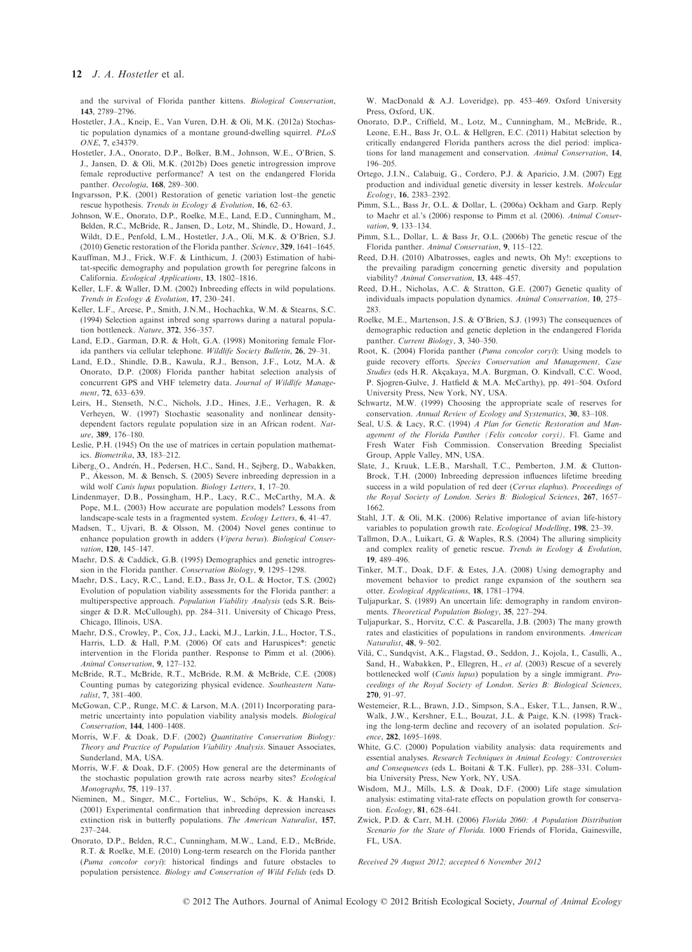#### 12 J. A. Hostetler et al.

and the survival of Florida panther kittens. Biological Conservation, 143, 2789–2796.

- Hostetler, J.A., Kneip, E., Van Vuren, D.H. & Oli, M.K. (2012a) Stochastic population dynamics of a montane ground-dwelling squirrel. PLoS ONE, 7, e34379.
- Hostetler, J.A., Onorato, D.P., Bolker, B.M., Johnson, W.E., O'Brien, S. J., Jansen, D. & Oli, M.K. (2012b) Does genetic introgression improve female reproductive performance? A test on the endangered Florida panther. Oecologia, 168, 289–300.
- Ingvarsson, P.K. (2001) Restoration of genetic variation lost–the genetic rescue hypothesis. Trends in Ecology & Evolution, 16, 62–63.
- Johnson, W.E., Onorato, D.P., Roelke, M.E., Land, E.D., Cunningham, M., Belden, R.C., McBride, R., Jansen, D., Lotz, M., Shindle, D., Howard, J., Wildt, D.E., Penfold, L.M., Hostetler, J.A., Oli, M.K. & O'Brien, S.J. (2010) Genetic restoration of the Florida panther. Science, 329, 1641–1645.
- Kauffman, M.J., Frick, W.F. & Linthicum, J. (2003) Estimation of habitat-specific demography and population growth for peregrine falcons in California. Ecological Applications, 13, 1802–1816.
- Keller, L.F. & Waller, D.M. (2002) Inbreeding effects in wild populations. Trends in Ecology & Evolution, 17, 230–241.
- Keller, L.F., Arcese, P., Smith, J.N.M., Hochachka, W.M. & Stearns, S.C. (1994) Selection against inbred song sparrows during a natural population bottleneck. Nature, 372, 356–357.
- Land, E.D., Garman, D.R. & Holt, G.A. (1998) Monitoring female Florida panthers via cellular telephone. Wildlife Society Bulletin, 26, 29–31.
- Land, E.D., Shindle, D.B., Kawula, R.J., Benson, J.F., Lotz, M.A. & Onorato, D.P. (2008) Florida panther habitat selection analysis of concurrent GPS and VHF telemetry data. Journal of Wildlife Management, 72, 633–639.
- Leirs, H., Stenseth, N.C., Nichols, J.D., Hines, J.E., Verhagen, R. & Verheyen, W. (1997) Stochastic seasonality and nonlinear densitydependent factors regulate population size in an African rodent. Nature, 389, 176–180.
- Leslie, P.H. (1945) On the use of matrices in certain population mathematics. Biometrika, 33, 183–212.
- Liberg, O., Andrén, H., Pedersen, H.C., Sand, H., Sejberg, D., Wabakken, P., Akesson, M. & Bensch, S. (2005) Severe inbreeding depression in a wild wolf *Canis lupus* population. *Biology Letters*, 1, 17–20.
- Lindenmayer, D.B., Possingham, H.P., Lacy, R.C., McCarthy, M.A. & Pope, M.L. (2003) How accurate are population models? Lessons from landscape-scale tests in a fragmented system. Ecology Letters, 6, 41–47.
- Madsen, T., Ujvari, B. & Olsson, M. (2004) Novel genes continue to enhance population growth in adders (Vipera berus). Biological Conservation, 120, 145–147.
- Maehr, D.S. & Caddick, G.B. (1995) Demographics and genetic introgression in the Florida panther. Conservation Biology, 9, 1295–1298.
- Maehr, D.S., Lacy, R.C., Land, E.D., Bass Jr, O.L. & Hoctor, T.S. (2002) Evolution of population viability assessments for the Florida panther: a multiperspective approach. Population Viability Analysis (eds S.R. Beissinger & D.R. McCullough), pp. 284–311. University of Chicago Press, Chicago, Illinois, USA.
- Maehr, D.S., Crowley, P., Cox, J.J., Lacki, M.J., Larkin, J.L., Hoctor, T.S., Harris, L.D. & Hall, P.M. (2006) Of cats and Haruspices\*: genetic intervention in the Florida panther. Response to Pimm et al. (2006). Animal Conservation, 9, 127–132.
- McBride, R.T., McBride, R.T., McBride, R.M. & McBride, C.E. (2008) Counting pumas by categorizing physical evidence. Southeastern Naturalist, 7, 381–400.
- McGowan, C.P., Runge, M.C. & Larson, M.A. (2011) Incorporating parametric uncertainty into population viability analysis models. Biological Conservation, 144, 1400–1408.
- Morris, W.F. & Doak, D.F. (2002) Quantitative Conservation Biology: Theory and Practice of Population Viability Analysis. Sinauer Associates, Sunderland, MA, USA.
- Morris, W.F. & Doak, D.F. (2005) How general are the determinants of the stochastic population growth rate across nearby sites? Ecological Monographs, 75, 119–137.
- Nieminen, M., Singer, M.C., Fortelius, W., Schöps, K. & Hanski, I. (2001) Experimental confirmation that inbreeding depression increases extinction risk in butterfly populations. The American Naturalist, 157, 237–244.
- Onorato, D.P., Belden, R.C., Cunningham, M.W., Land, E.D., McBride, R.T. & Roelke, M.E. (2010) Long-term research on the Florida panther (Puma concolor coryi): historical findings and future obstacles to population persistence. Biology and Conservation of Wild Felids (eds D.

W. MacDonald & A.J. Loveridge), pp. 453–469. Oxford University Press, Oxford, UK.

- Onorato, D.P., Criffield, M., Lotz, M., Cunningham, M., McBride, R., Leone, E.H., Bass Jr, O.L. & Hellgren, E.C. (2011) Habitat selection by critically endangered Florida panthers across the diel period: implications for land management and conservation. Animal Conservation, 14, 196–205.
- Ortego, J.I.N., Calabuig, G., Cordero, P.J. & Aparicio, J.M. (2007) Egg production and individual genetic diversity in lesser kestrels. Molecular Ecology, 16, 2383–2392.
- Pimm, S.L., Bass Jr, O.L. & Dollar, L. (2006a) Ockham and Garp. Reply to Maehr et al.'s (2006) response to Pimm et al. (2006). Animal Conservation, 9, 133–134.
- Pimm, S.L., Dollar, L. & Bass Jr, O.L. (2006b) The genetic rescue of the Florida panther. Animal Conservation, 9, 115–122.
- Reed, D.H. (2010) Albatrosses, eagles and newts, Oh My!: exceptions to the prevailing paradigm concerning genetic diversity and population viability? Animal Conservation, 13, 448–457.
- Reed, D.H., Nicholas, A.C. & Stratton, G.E. (2007) Genetic quality of individuals impacts population dynamics. Animal Conservation, 10, 275– 283.
- Roelke, M.E., Martenson, J.S. & O'Brien, S.J. (1993) The consequences of demographic reduction and genetic depletion in the endangered Florida panther. Current Biology, 3, 340–350.
- Root, K. (2004) Florida panther (Puma concolor coryi): Using models to guide recovery efforts. Species Conservation and Management, Case Studies (eds H.R. Akcakaya, M.A. Burgman, O. Kindvall, C.C. Wood, P. Sjogren-Gulve, J. Hatfield & M.A. McCarthy), pp. 491–504. Oxford University Press, New York, NY, USA.
- Schwartz, M.W. (1999) Choosing the appropriate scale of reserves for conservation. Annual Review of Ecology and Systematics, 30, 83–108.
- Seal, U.S. & Lacy, R.C. (1994) A Plan for Genetic Restoration and Management of the Florida Panther (Felis concolor coryi). Fl. Game and Fresh Water Fish Commission. Conservation Breeding Specialist Group, Apple Valley, MN, USA.
- Slate, J., Kruuk, L.E.B., Marshall, T.C., Pemberton, J.M. & Clutton-Brock, T.H. (2000) Inbreeding depression influences lifetime breeding success in a wild population of red deer (Cervus elaphus). Proceedings of the Royal Society of London. Series B: Biological Sciences, 267, 1657-1662.
- Stahl, J.T. & Oli, M.K. (2006) Relative importance of avian life-history variables to population growth rate. Ecological Modelling, 198, 23–39.
- Tallmon, D.A., Luikart, G. & Waples, R.S. (2004) The alluring simplicity and complex reality of genetic rescue. Trends in Ecology & Evolution, 19, 489–496.
- Tinker, M.T., Doak, D.F. & Estes, J.A. (2008) Using demography and movement behavior to predict range expansion of the southern sea otter. Ecological Applications, 18, 1781–1794.
- Tuljapurkar, S. (1989) An uncertain life: demography in random environments. Theoretical Population Biology, 35, 227–294.
- Tuljapurkar, S., Horvitz, C.C. & Pascarella, J.B. (2003) The many growth rates and elasticities of populations in random environments. American Naturalist, 48, 9–502.
- Vilà, C., Sundqvist, A.K., Flagstad, Ø., Seddon, J., Kojola, I., Casulli, A., Sand, H., Wabakken, P., Ellegren, H., et al. (2003) Rescue of a severely bottlenecked wolf (Canis lupus) population by a single immigrant. Proceedings of the Royal Society of London. Series B: Biological Sciences, 270, 91–97.
- Westemeier, R.L., Brawn, J.D., Simpson, S.A., Esker, T.L., Jansen, R.W., Walk, J.W., Kershner, E.L., Bouzat, J.L. & Paige, K.N. (1998) Tracking the long-term decline and recovery of an isolated population. Science, 282, 1695–1698.
- White, G.C. (2000) Population viability analysis: data requirements and essential analyses. Research Techniques in Animal Ecology: Controversies and Consequences (eds L. Boitani & T.K. Fuller), pp. 288–331. Columbia University Press, New York, NY, USA.
- Wisdom, M.J., Mills, L.S. & Doak, D.F. (2000) Life stage simulation analysis: estimating vital-rate effects on population growth for conservation. Ecology, 81, 628–641.
- Zwick, P.D. & Carr, M.H. (2006) Florida 2060: A Population Distribution Scenario for the State of Florida. 1000 Friends of Florida, Gainesville, FL, USA.

Received 29 August 2012; accepted 6 November 2012